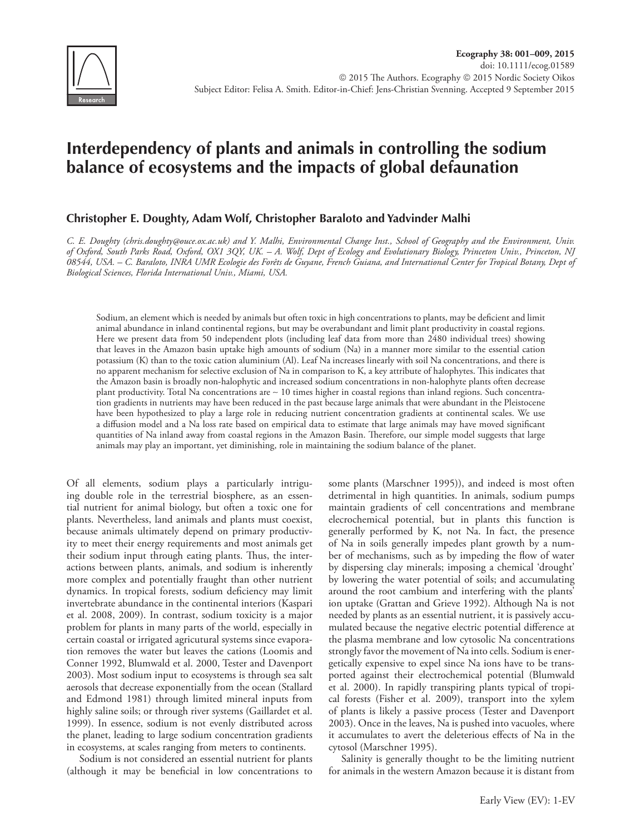

# **Interdependency of plants and animals in controlling the sodium balance of ecosystems and the impacts of global defaunation**

## **Christopher E. Doughty, Adam Wolf, Christopher Baraloto and Yadvinder Malhi**

*C. E. Doughty (chris.doughty@ouce.ox.ac.uk) and Y. Malhi, Environmental Change Inst., School of Geography and the Environment, Univ. of Oxford, South Parks Road, Oxford, OX1 3QY, UK. – A. Wolf, Dept of Ecology and Evolutionary Biology, Princeton Univ., Princeton, NJ 08544, USA. – C. Baraloto, INRA UMR Ecologie des Forêts de Guyane, French Guiana, and International Center for Tropical Botany, Dept of Biological Sciences, Florida International Univ., Miami, USA.*

Sodium, an element which is needed by animals but often toxic in high concentrations to plants, may be deficient and limit animal abundance in inland continental regions, but may be overabundant and limit plant productivity in coastal regions. Here we present data from 50 independent plots (including leaf data from more than 2480 individual trees) showing that leaves in the Amazon basin uptake high amounts of sodium (Na) in a manner more similar to the essential cation potassium (K) than to the toxic cation aluminium (Al). Leaf Na increases linearly with soil Na concentrations, and there is no apparent mechanism for selective exclusion of Na in comparison to K, a key attribute of halophytes. This indicates that the Amazon basin is broadly non-halophytic and increased sodium concentrations in non-halophyte plants often decrease plant productivity. Total Na concentrations are ∼ 10 times higher in coastal regions than inland regions. Such concentration gradients in nutrients may have been reduced in the past because large animals that were abundant in the Pleistocene have been hypothesized to play a large role in reducing nutrient concentration gradients at continental scales. We use a diffusion model and a Na loss rate based on empirical data to estimate that large animals may have moved significant quantities of Na inland away from coastal regions in the Amazon Basin. Therefore, our simple model suggests that large animals may play an important, yet diminishing, role in maintaining the sodium balance of the planet.

Of all elements, sodium plays a particularly intriguing double role in the terrestrial biosphere, as an essential nutrient for animal biology, but often a toxic one for plants. Nevertheless, land animals and plants must coexist, because animals ultimately depend on primary productivity to meet their energy requirements and most animals get their sodium input through eating plants. Thus, the interactions between plants, animals, and sodium is inherently more complex and potentially fraught than other nutrient dynamics. In tropical forests, sodium deficiency may limit invertebrate abundance in the continental interiors (Kaspari et al. 2008, 2009). In contrast, sodium toxicity is a major problem for plants in many parts of the world, especially in certain coastal or irrigated agricutural systems since evaporation removes the water but leaves the cations (Loomis and Conner 1992, Blumwald et al. 2000, Tester and Davenport 2003). Most sodium input to ecosystems is through sea salt aerosols that decrease exponentially from the ocean (Stallard and Edmond 1981) through limited mineral inputs from highly saline soils; or through river systems (Gaillardet et al. 1999). In essence, sodium is not evenly distributed across the planet, leading to large sodium concentration gradients in ecosystems, at scales ranging from meters to continents.

Sodium is not considered an essential nutrient for plants (although it may be beneficial in low concentrations to some plants (Marschner 1995)), and indeed is most often detrimental in high quantities. In animals, sodium pumps maintain gradients of cell concentrations and membrane elecrochemical potential, but in plants this function is generally performed by K, not Na. In fact, the presence of Na in soils generally impedes plant growth by a number of mechanisms, such as by impeding the flow of water by dispersing clay minerals; imposing a chemical 'drought' by lowering the water potential of soils; and accumulating around the root cambium and interfering with the plants' ion uptake (Grattan and Grieve 1992). Although Na is not needed by plants as an essential nutrient, it is passively accumulated because the negative electric potential difference at the plasma membrane and low cytosolic Na concentrations strongly favor the movement of Na into cells. Sodium is energetically expensive to expel since Na ions have to be transported against their electrochemical potential (Blumwald et al. 2000). In rapidly transpiring plants typical of tropical forests (Fisher et al. 2009), transport into the xylem of plants is likely a passive process (Tester and Davenport 2003). Once in the leaves, Na is pushed into vacuoles, where it accumulates to avert the deleterious effects of Na in the cytosol (Marschner 1995).

Salinity is generally thought to be the limiting nutrient for animals in the western Amazon because it is distant from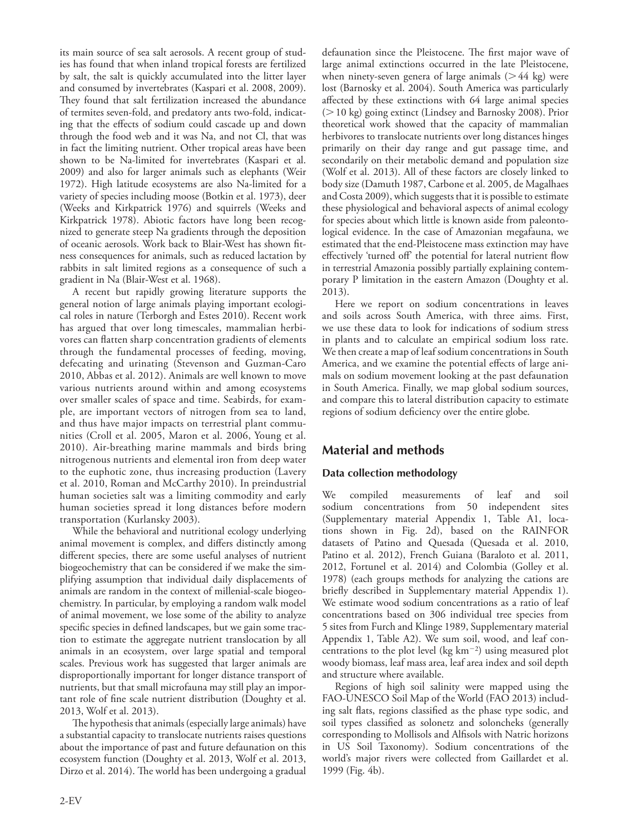its main source of sea salt aerosols. A recent group of studies has found that when inland tropical forests are fertilized by salt, the salt is quickly accumulated into the litter layer and consumed by invertebrates (Kaspari et al. 2008, 2009). They found that salt fertilization increased the abundance of termites seven-fold, and predatory ants two-fold, indicating that the effects of sodium could cascade up and down through the food web and it was Na, and not Cl, that was in fact the limiting nutrient. Other tropical areas have been shown to be Na-limited for invertebrates (Kaspari et al. 2009) and also for larger animals such as elephants (Weir 1972). High latitude ecosystems are also Na-limited for a variety of species including moose (Botkin et al. 1973), deer (Weeks and Kirkpatrick 1976) and squirrels (Weeks and Kirkpatrick 1978). Abiotic factors have long been recognized to generate steep Na gradients through the deposition of oceanic aerosols. Work back to Blair-West has shown fitness consequences for animals, such as reduced lactation by rabbits in salt limited regions as a consequence of such a gradient in Na (Blair-West et al. 1968).

A recent but rapidly growing literature supports the general notion of large animals playing important ecological roles in nature (Terborgh and Estes 2010). Recent work has argued that over long timescales, mammalian herbivores can flatten sharp concentration gradients of elements through the fundamental processes of feeding, moving, defecating and urinating (Stevenson and Guzman-Caro 2010, Abbas et al. 2012). Animals are well known to move various nutrients around within and among ecosystems over smaller scales of space and time. Seabirds, for example, are important vectors of nitrogen from sea to land, and thus have major impacts on terrestrial plant communities (Croll et al. 2005, Maron et al. 2006, Young et al. 2010). Air-breathing marine mammals and birds bring nitrogenous nutrients and elemental iron from deep water to the euphotic zone, thus increasing production (Lavery et al. 2010, Roman and McCarthy 2010). In preindustrial human societies salt was a limiting commodity and early human societies spread it long distances before modern transportation (Kurlansky 2003).

While the behavioral and nutritional ecology underlying animal movement is complex, and differs distinctly among different species, there are some useful analyses of nutrient biogeochemistry that can be considered if we make the simplifying assumption that individual daily displacements of animals are random in the context of millenial-scale biogeochemistry. In particular, by employing a random walk model of animal movement, we lose some of the ability to analyze specific species in defined landscapes, but we gain some traction to estimate the aggregate nutrient translocation by all animals in an ecosystem, over large spatial and temporal scales. Previous work has suggested that larger animals are disproportionally important for longer distance transport of nutrients, but that small microfauna may still play an important role of fine scale nutrient distribution (Doughty et al. 2013, Wolf et al. 2013).

The hypothesis that animals (especially large animals) have a substantial capacity to translocate nutrients raises questions about the importance of past and future defaunation on this ecosystem function (Doughty et al. 2013, Wolf et al. 2013, Dirzo et al. 2014). The world has been undergoing a gradual defaunation since the Pleistocene. The first major wave of large animal extinctions occurred in the late Pleistocene, when ninety-seven genera of large animals  $(>44 \text{ kg})$  were lost (Barnosky et al. 2004). South America was particularly affected by these extinctions with 64 large animal species  $(>10 \text{ kg})$  going extinct (Lindsey and Barnosky 2008). Prior theoretical work showed that the capacity of mammalian herbivores to translocate nutrients over long distances hinges primarily on their day range and gut passage time, and secondarily on their metabolic demand and population size (Wolf et al. 2013). All of these factors are closely linked to body size (Damuth 1987, Carbone et al. 2005, de Magalhaes and Costa 2009), which suggests that it is possible to estimate these physiological and behavioral aspects of animal ecology for species about which little is known aside from paleontological evidence. In the case of Amazonian megafauna, we estimated that the end-Pleistocene mass extinction may have effectively 'turned off' the potential for lateral nutrient flow in terrestrial Amazonia possibly partially explaining contemporary P limitation in the eastern Amazon (Doughty et al. 2013).

Here we report on sodium concentrations in leaves and soils across South America, with three aims. First, we use these data to look for indications of sodium stress in plants and to calculate an empirical sodium loss rate. We then create a map of leaf sodium concentrations in South America, and we examine the potential effects of large animals on sodium movement looking at the past defaunation in South America. Finally, we map global sodium sources, and compare this to lateral distribution capacity to estimate regions of sodium deficiency over the entire globe.

# **Material and methods**

# **Data collection methodology**

We compiled measurements of leaf and soil sodium concentrations from 50 independent sites (Supplementary material Appendix 1, Table A1, locations shown in Fig. 2d), based on the RAINFOR datasets of Patino and Quesada (Quesada et al. 2010, Patino et al. 2012), French Guiana (Baraloto et al. 2011, 2012, Fortunel et al. 2014) and Colombia (Golley et al. 1978) (each groups methods for analyzing the cations are briefly described in Supplementary material Appendix 1). We estimate wood sodium concentrations as a ratio of leaf concentrations based on 306 individual tree species from 5 sites from Furch and Klinge 1989, Supplementary material Appendix 1, Table A2). We sum soil, wood, and leaf concentrations to the plot level (kg  $km^{-2}$ ) using measured plot woody biomass, leaf mass area, leaf area index and soil depth and structure where available.

Regions of high soil salinity were mapped using the FAO-UNESCO Soil Map of the World (FAO 2013) including salt flats, regions classified as the phase type sodic, and soil types classified as solonetz and soloncheks (generally corresponding to Mollisols and Alfisols with Natric horizons in US Soil Taxonomy). Sodium concentrations of the world's major rivers were collected from Gaillardet et al. 1999 (Fig. 4b).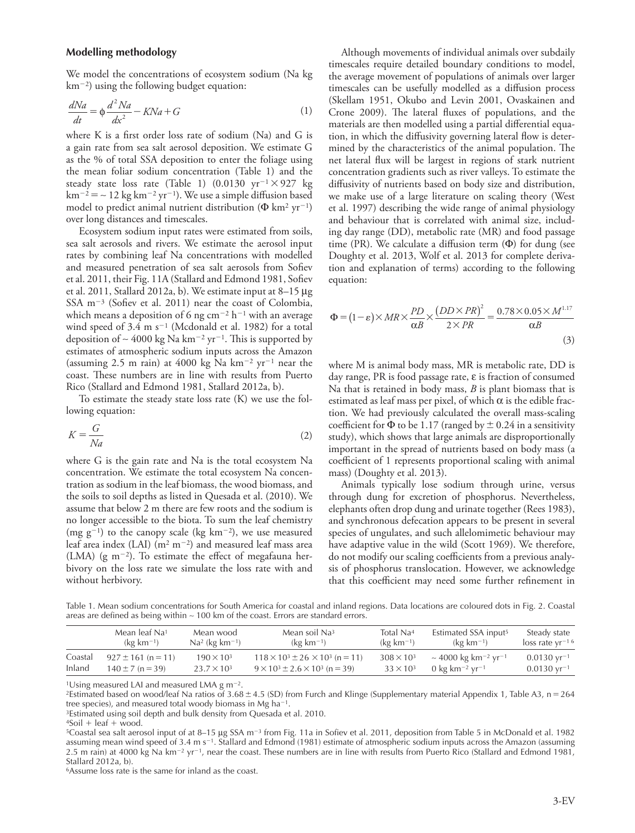#### **Modelling methodology**

We model the concentrations of ecosystem sodium (Na kg  $km^{-2}$ ) using the following budget equation:

$$
\frac{dNa}{dt} = \phi \frac{d^2Na}{dx^2} - KNa + G\tag{1}
$$

where K is a first order loss rate of sodium (Na) and G is a gain rate from sea salt aerosol deposition. We estimate G as the % of total SSA deposition to enter the foliage using the mean foliar sodium concentration (Table 1) and the steady state loss rate (Table 1) (0.0130  $yr^{-1} \times 927$  kg km<sup>-2</sup> = ~12 kg km<sup>-2</sup> yr<sup>-1</sup>). We use a simple diffusion based model to predict animal nutrient distribution ( $\Phi$  km<sup>2</sup> yr<sup>-1</sup>) over long distances and timescales.

Ecosystem sodium input rates were estimated from soils, sea salt aerosols and rivers. We estimate the aerosol input rates by combining leaf Na concentrations with modelled and measured penetration of sea salt aerosols from Sofiev et al. 2011, their Fig. 11A (Stallard and Edmond 1981, Sofiev et al. 2011, Stallard 2012a, b). We estimate input at  $8-15 \mu$ g SSA  $m^{-3}$  (Sofiev et al. 2011) near the coast of Colombia, which means a deposition of 6 ng cm<sup>-2</sup> h<sup>-1</sup> with an average wind speed of  $3.4 \text{ m s}^{-1}$  (Mcdonald et al. 1982) for a total deposition of ~ 4000 kg Na km<sup>-2</sup> yr<sup>-1</sup>. This is supported by estimates of atmospheric sodium inputs across the Amazon (assuming 2.5 m rain) at 4000 kg Na  $km^{-2}$  yr<sup>-1</sup> near the coast. These numbers are in line with results from Puerto Rico (Stallard and Edmond 1981, Stallard 2012a, b).

To estimate the steady state loss rate (K) we use the following equation:

$$
K = \frac{G}{Na} \tag{2}
$$

where G is the gain rate and Na is the total ecosystem Na concentration. We estimate the total ecosystem Na concentration as sodium in the leaf biomass, the wood biomass, and the soils to soil depths as listed in Quesada et al. (2010). We assume that below 2 m there are few roots and the sodium is no longer accessible to the biota. To sum the leaf chemistry (mg  $g^{-1}$ ) to the canopy scale (kg km<sup>-2</sup>), we use measured leaf area index (LAI)  $(m^2 m^{-2})$  and measured leaf mass area (LMA) (g m<sup>-2</sup>). To estimate the effect of megafauna herbivory on the loss rate we simulate the loss rate with and without herbivory.

Although movements of individual animals over subdaily timescales require detailed boundary conditions to model, the average movement of populations of animals over larger timescales can be usefully modelled as a diffusion process (Skellam 1951, Okubo and Levin 2001, Ovaskainen and Crone 2009). The lateral fluxes of populations, and the materials are then modelled using a partial differential equation, in which the diffusivity governing lateral flow is determined by the characteristics of the animal population. The net lateral flux will be largest in regions of stark nutrient concentration gradients such as river valleys. To estimate the diffusivity of nutrients based on body size and distribution, we make use of a large literature on scaling theory (West et al. 1997) describing the wide range of animal physiology and behaviour that is correlated with animal size, including day range (DD), metabolic rate (MR) and food passage time (PR). We calculate a diffusion term  $(\Phi)$  for dung (see Doughty et al. 2013, Wolf et al. 2013 for complete derivation and explanation of terms) according to the following equation:

$$
\Phi = (1 - \varepsilon) \times MR \times \frac{PD}{\alpha B} \times \frac{(DD \times PR)^2}{2 \times PR} = \frac{0.78 \times 0.05 \times M^{1.17}}{\alpha B}
$$
\n(3)

where M is animal body mass, MR is metabolic rate, DD is day range, PR is food passage rate,  $\varepsilon$  is fraction of consumed Na that is retained in body mass, *B* is plant biomass that is estimated as leaf mass per pixel, of which  $\alpha$  is the edible fraction. We had previously calculated the overall mass-scaling coefficient for  $\Phi$  to be 1.17 (ranged by  $\pm$  0.24 in a sensitivity study), which shows that large animals are disproportionally important in the spread of nutrients based on body mass (a coefficient of 1 represents proportional scaling with animal mass) (Doughty et al. 2013).

Animals typically lose sodium through urine, versus through dung for excretion of phosphorus. Nevertheless, elephants often drop dung and urinate together (Rees 1983), and synchronous defecation appears to be present in several species of ungulates, and such allelomimetic behaviour may have adaptive value in the wild (Scott 1969). We therefore, do not modify our scaling coefficients from a previous analysis of phosphorus translocation. However, we acknowledge that this coefficient may need some further refinement in

Table 1. Mean sodium concentrations for South America for coastal and inland regions. Data locations are coloured dots in Fig. 2. Coastal areas are defined as being within ∼ 100 km of the coast. Errors are standard errors.

|         | Mean leaf Na <sup>1</sup> | Mean wood                     | Mean soil Na <sup>3</sup>                     | Total Na <sup>4</sup> | Estimated SSA input <sup>5</sup>            | Steady state                             |
|---------|---------------------------|-------------------------------|-----------------------------------------------|-----------------------|---------------------------------------------|------------------------------------------|
|         | $(kg km^{-1})$            | $Na^2$ (kg km <sup>-1</sup> ) | $(kg km-1)$                                   | $(kg km^{-1})$        | $(kg \; km^{-1})$                           | $\log$ rate $\sqrt{r^{-1}}$ <sup>6</sup> |
| Coastal | $927 \pm 161$ (n = 11)    | $190 \times 10^{3}$           | $118 \times 10^3 \pm 26 \times 10^3$ (n = 11) | $308 \times 10^{3}$   | ~ 4000 kg km <sup>-2</sup> yr <sup>-1</sup> | $0.0130$ vr <sup>-1</sup>                |
| Inland  | $140 \pm 7$ (n = 39)      | $23.7 \times 10^3$            | $9 \times 10^3 \pm 2.6 \times 10^3$ (n = 39)  | $33 \times 10^{3}$    | 0 kg km <sup>-2</sup> yr <sup>-1</sup>      | $0.0130$ yr <sup>-1</sup>                |

<sup>1</sup>Using measured LAI and measured LMA g m<sup>-2</sup>.

<sup>2</sup>Estimated based on wood/leaf Na ratios of 3.68  $\pm$  4.5 (SD) from Furch and Klinge (Supplementary material Appendix 1, Table A3, n = 264 tree species), and measured total woody biomass in Mg ha<sup>-1</sup>.

3Estimated using soil depth and bulk density from Quesada et al. 2010.

 $4\text{Soil} + \text{leaf} + \text{wood}.$ 

 $5$ Coastal sea salt aerosol input of at 8–15 µg SSA m<sup>-3</sup> from Fig. 11a in Sofiev et al. 2011, deposition from Table 5 in McDonald et al. 1982 assuming mean wind speed of 3.4 m s<sup>-1</sup>. Stallard and Edmond (1981) estimate of atmospheric sodium inputs across the Amazon (assuming 2.5 m rain) at 4000 kg Na km<sup>-2</sup> yr<sup>-1</sup>, near the coast. These numbers are in line with results from Puerto Rico (Stallard and Edmond 1981, Stallard 2012a, b).

6Assume loss rate is the same for inland as the coast.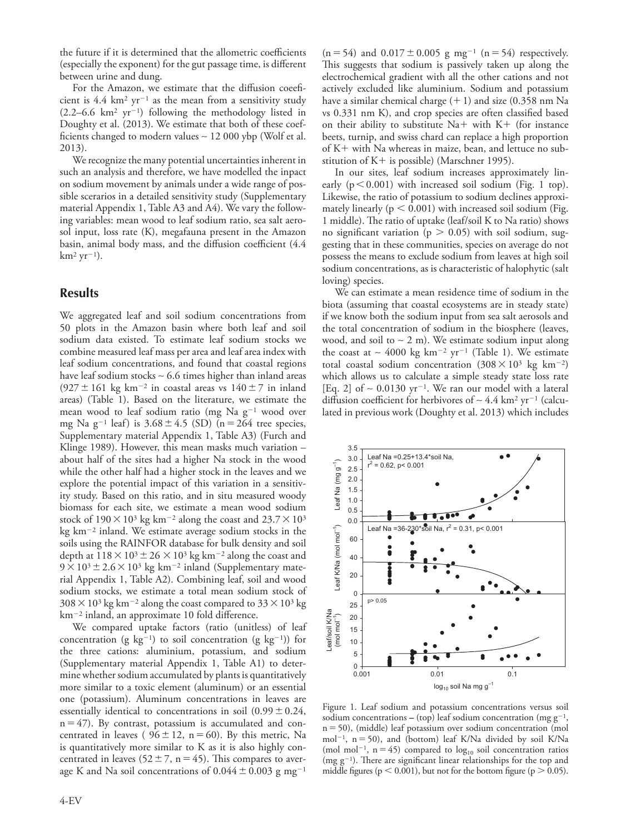the future if it is determined that the allometric coefficients (especially the exponent) for the gut passage time, is different between urine and dung.

For the Amazon, we estimate that the diffusion coeeficient is  $4.4 \text{ km}^2 \text{ yr}^{-1}$  as the mean from a sensitivity study  $(2.2-6.6 \text{ km}^2 \text{ yr}^{-1})$  following the methodology listed in Doughty et al. (2013). We estimate that both of these coefficients changed to modern values ∼ 12 000 ybp (Wolf et al. 2013).

We recognize the many potential uncertainties inherent in such an analysis and therefore, we have modelled the inpact on sodium movement by animals under a wide range of possible scerarios in a detailed sensitivity study (Supplementary material Appendix 1, Table A3 and A4). We vary the following variables: mean wood to leaf sodium ratio, sea salt aerosol input, loss rate (K), megafauna present in the Amazon basin, animal body mass, and the diffusion coefficient (4.4  $km^2 yr^{-1}$ ).

## **Results**

We aggregated leaf and soil sodium concentrations from 50 plots in the Amazon basin where both leaf and soil sodium data existed. To estimate leaf sodium stocks we combine measured leaf mass per area and leaf area index with leaf sodium concentrations, and found that coastal regions have leaf sodium stocks ∼ 6.6 times higher than inland areas  $(927 \pm 161 \text{ kg km}^{-2} \text{ in coastal areas vs } 140 \pm 7 \text{ in inland})$ areas) (Table 1). Based on the literature, we estimate the mean wood to leaf sodium ratio (mg Na  $g^{-1}$  wood over mg Na g<sup>-1</sup> leaf) is  $3.68 \pm 4.5$  (SD) (n = 264 tree species, Supplementary material Appendix 1, Table A3) (Furch and Klinge 1989). However, this mean masks much variation – about half of the sites had a higher Na stock in the wood while the other half had a higher stock in the leaves and we explore the potential impact of this variation in a sensitivity study. Based on this ratio, and in situ measured woody biomass for each site, we estimate a mean wood sodium stock of  $190\times10^3$  kg km<sup>-2</sup> along the coast and  $23.7\times10^3$ kg  $km^{-2}$  inland. We estimate average sodium stocks in the soils using the RAINFOR database for bulk density and soil depth at  $118\times10^3\pm26\times10^3$  kg km<sup>-2</sup> along the coast and  $9 \times 10^3 \pm 2.6 \times 10^3$  kg km<sup>-2</sup> inland (Supplementary material Appendix 1, Table A2). Combining leaf, soil and wood sodium stocks, we estimate a total mean sodium stock of  $308 \times 10^3$  kg km<sup>-2</sup> along the coast compared to  $33 \times 10^3$  kg  $km^{-2}$  inland, an approximate 10 fold difference.

We compared uptake factors (ratio (unitless) of leaf concentration (g  $kg^{-1}$ ) to soil concentration (g  $kg^{-1}$ )) for the three cations: aluminium, potassium, and sodium (Supplementary material Appendix 1, Table A1) to determine whether sodium accumulated by plants is quantitatively more similar to a toxic element (aluminum) or an essential one (potassium). Aluminum concentrations in leaves are essentially identical to concentrations in soil  $(0.99 \pm 0.24,$  $n=47$ ). By contrast, potassium is accumulated and concentrated in leaves (  $96 \pm 12$ , n = 60). By this metric, Na is quantitatively more similar to K as it is also highly concentrated in leaves ( $52 \pm 7$ , n = 45). This compares to average K and Na soil concentrations of  $0.044 \pm 0.003$  g mg<sup>-1</sup>

 $(n=54)$  and  $0.017 \pm 0.005$  g mg<sup>-1</sup> (n = 54) respectively. This suggests that sodium is passively taken up along the electrochemical gradient with all the other cations and not actively excluded like aluminium. Sodium and potassium have a similar chemical charge  $(+1)$  and size  $(0.358 \text{ nm Na})$ vs 0.331 nm K), and crop species are often classified based on their ability to substitute  $Na+$  with  $K+$  (for instance beets, turnip, and swiss chard can replace a high proportion of  $K<sup>+</sup>$  with Na whereas in maize, bean, and lettuce no substitution of  $K+$  is possible) (Marschner 1995).

In our sites, leaf sodium increases approximately linearly  $(p<0.001)$  with increased soil sodium (Fig. 1 top). Likewise, the ratio of potassium to sodium declines approximately linearly ( $p < 0.001$ ) with increased soil sodium (Fig. 1 middle). The ratio of uptake (leaf/soil K to Na ratio) shows no significant variation ( $p > 0.05$ ) with soil sodium, suggesting that in these communities, species on average do not possess the means to exclude sodium from leaves at high soil sodium concentrations, as is characteristic of halophytic (salt loving) species.

We can estimate a mean residence time of sodium in the biota (assuming that coastal ecosystems are in steady state) if we know both the sodium input from sea salt aerosols and the total concentration of sodium in the biosphere (leaves, wood, and soil to  $~2~\mathrm{m}$ ). We estimate sodium input along the coast at ~ 4000 kg km<sup>-2</sup> yr<sup>-1</sup> (Table 1). We estimate total coastal sodium concentration  $(308 \times 10^3 \text{ kg } \text{km}^{-2})$ which allows us to calculate a simple steady state loss rate [Eq. 2] of ~ 0.0130 yr<sup>-1</sup>. We ran our model with a lateral diffusion coefficient for herbivores of ~ 4.4 km<sup>2</sup> yr<sup>-1</sup> (calculated in previous work (Doughty et al. 2013) which includes



Figure 1. Leaf sodium and potassium concentrations versus soil sodium concentrations – (top) leaf sodium concentration (mg  $g^{-1}$ ,  $n=50$ ), (middle) leaf potassium over sodium concentration (mol mol<sup>-1</sup>,  $n = 50$ ), and (bottom) leaf K/Na divided by soil K/Na (mol mol<sup>-1</sup>, n = 45) compared to  $log_{10}$  soil concentration ratios  $(mg g^{-1})$ . There are significant linear relationships for the top and middle figures ( $p < 0.001$ ), but not for the bottom figure ( $p > 0.05$ ).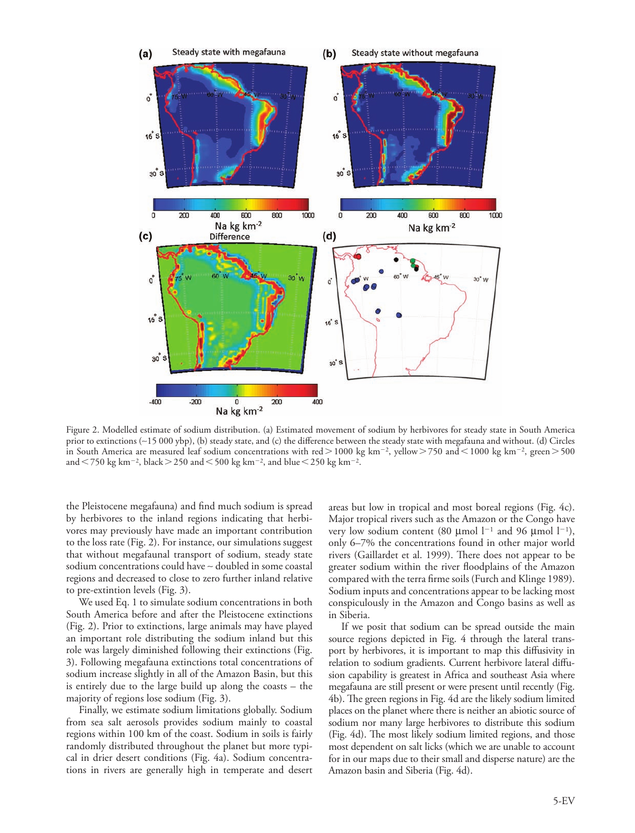

Figure 2. Modelled estimate of sodium distribution. (a) Estimated movement of sodium by herbivores for steady state in South America prior to extinctions (∼15 000 ybp), (b) steady state, and (c) the difference between the steady state with megafauna and without. (d) Circles in South America are measured leaf sodium concentrations with red $>$ 1000 kg km<sup>-2</sup>, yellow $>$ 750 and < 1000 kg km<sup>-2</sup>, green $>$ 500 and  $\leq$  750 kg km<sup>-2</sup>, black  $>$  250 and  $\leq$  500 kg km<sup>-2</sup>, and blue  $\leq$  250 kg km<sup>-2</sup>.

the Pleistocene megafauna) and find much sodium is spread by herbivores to the inland regions indicating that herbivores may previously have made an important contribution to the loss rate (Fig. 2). For instance, our simulations suggest that without megafaunal transport of sodium, steady state sodium concentrations could have ∼ doubled in some coastal regions and decreased to close to zero further inland relative to pre-extintion levels (Fig. 3).

We used Eq. 1 to simulate sodium concentrations in both South America before and after the Pleistocene extinctions (Fig. 2). Prior to extinctions, large animals may have played an important role distributing the sodium inland but this role was largely diminished following their extinctions (Fig. 3). Following megafauna extinctions total concentrations of sodium increase slightly in all of the Amazon Basin, but this is entirely due to the large build up along the coasts – the majority of regions lose sodium (Fig. 3).

Finally, we estimate sodium limitations globally. Sodium from sea salt aerosols provides sodium mainly to coastal regions within 100 km of the coast. Sodium in soils is fairly randomly distributed throughout the planet but more typical in drier desert conditions (Fig. 4a). Sodium concentrations in rivers are generally high in temperate and desert areas but low in tropical and most boreal regions (Fig. 4c). Major tropical rivers such as the Amazon or the Congo have very low sodium content (80 µmol  $l^{-1}$  and 96 µmol  $l^{-1}$ ), only 6–7% the concentrations found in other major world rivers (Gaillardet et al. 1999). There does not appear to be greater sodium within the river floodplains of the Amazon compared with the terra firme soils (Furch and Klinge 1989). Sodium inputs and concentrations appear to be lacking most conspiculously in the Amazon and Congo basins as well as in Siberia.

If we posit that sodium can be spread outside the main source regions depicted in Fig. 4 through the lateral transport by herbivores, it is important to map this diffusivity in relation to sodium gradients. Current herbivore lateral diffusion capability is greatest in Africa and southeast Asia where megafauna are still present or were present until recently (Fig. 4b). The green regions in Fig. 4d are the likely sodium limited places on the planet where there is neither an abiotic source of sodium nor many large herbivores to distribute this sodium (Fig. 4d). The most likely sodium limited regions, and those most dependent on salt licks (which we are unable to account for in our maps due to their small and disperse nature) are the Amazon basin and Siberia (Fig. 4d).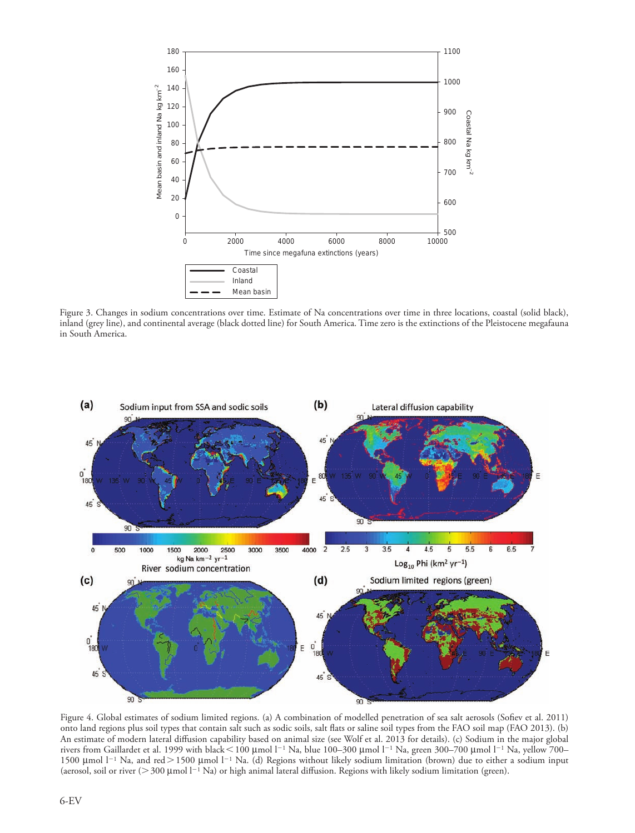

Figure 3. Changes in sodium concentrations over time. Estimate of Na concentrations over time in three locations, coastal (solid black), inland (grey line), and continental average (black dotted line) for South America. Time zero is the extinctions of the Pleistocene megafauna in South America.



Figure 4. Global estimates of sodium limited regions. (a) A combination of modelled penetration of sea salt aerosols (Sofiev et al. 2011) onto land regions plus soil types that contain salt such as sodic soils, salt flats or saline soil types from the FAO soil map (FAO 2013). (b) An estimate of modern lateral diffusion capability based on animal size (see Wolf et al. 2013 for details). (c) Sodium in the major global rivers from Gaillardet et al. 1999 with black < 100 µmol l<sup>-1</sup> Na, blue 100–300 µmol l<sup>-1</sup> Na, green 300–700 µmol l<sup>-1</sup> Na, yellow 700– 1500 µmol  $l^{-1}$  Na, and red > 1500 µmol  $l^{-1}$  Na. (d) Regions without likely sodium limitation (brown) due to either a sodium input (aerosol, soil or river ( $>$  300 µmol  $l^{-1}$  Na) or high animal lateral diffusion. Regions with likely sodium limitation (green).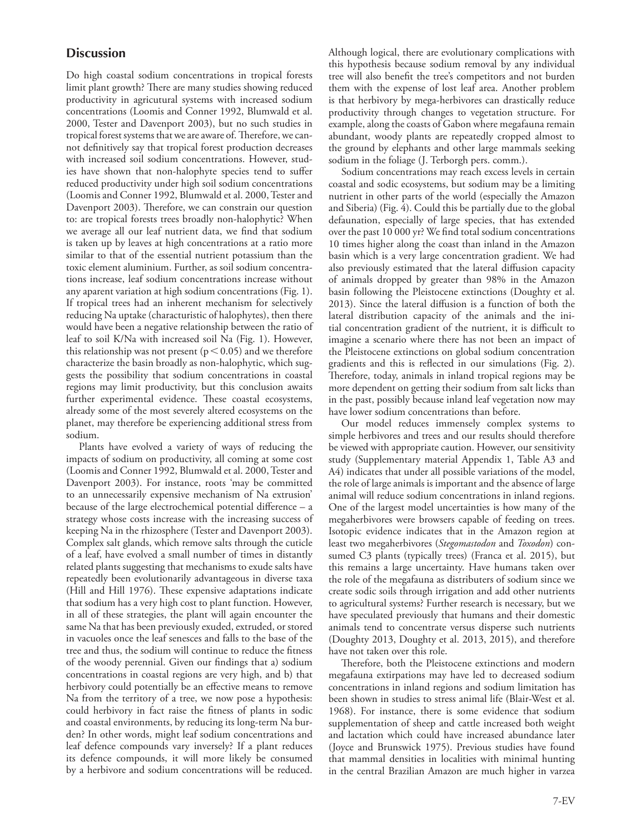# **Discussion**

Do high coastal sodium concentrations in tropical forests limit plant growth? There are many studies showing reduced productivity in agricutural systems with increased sodium concentrations (Loomis and Conner 1992, Blumwald et al. 2000, Tester and Davenport 2003), but no such studies in tropical forest systems that we are aware of. Therefore, we cannot definitively say that tropical forest production decreases with increased soil sodium concentrations. However, studies have shown that non-halophyte species tend to suffer reduced productivity under high soil sodium concentrations (Loomis and Conner 1992, Blumwald et al. 2000, Tester and Davenport 2003). Therefore, we can constrain our question to: are tropical forests trees broadly non-halophytic? When we average all our leaf nutrient data, we find that sodium is taken up by leaves at high concentrations at a ratio more similar to that of the essential nutrient potassium than the toxic element aluminium. Further, as soil sodium concentrations increase, leaf sodium concentrations increase without any aparent variation at high sodium concentrations (Fig. 1). If tropical trees had an inherent mechanism for selectively reducing Na uptake (characturistic of halophytes), then there would have been a negative relationship between the ratio of leaf to soil K/Na with increased soil Na (Fig. 1). However, this relationship was not present ( $p<0.05$ ) and we therefore characterize the basin broadly as non-halophytic, which suggests the possibility that sodium concentrations in coastal regions may limit productivity, but this conclusion awaits further experimental evidence. These coastal ecosystems, already some of the most severely altered ecosystems on the planet, may therefore be experiencing additional stress from sodium.

Plants have evolved a variety of ways of reducing the impacts of sodium on productivity, all coming at some cost (Loomis and Conner 1992, Blumwald et al. 2000, Tester and Davenport 2003). For instance, roots 'may be committed to an unnecessarily expensive mechanism of Na extrusion' because of the large electrochemical potential difference – a strategy whose costs increase with the increasing success of keeping Na in the rhizosphere (Tester and Davenport 2003). Complex salt glands, which remove salts through the cuticle of a leaf, have evolved a small number of times in distantly related plants suggesting that mechanisms to exude salts have repeatedly been evolutionarily advantageous in diverse taxa (Hill and Hill 1976). These expensive adaptations indicate that sodium has a very high cost to plant function. However, in all of these strategies, the plant will again encounter the same Na that has been previously exuded, extruded, or stored in vacuoles once the leaf senesces and falls to the base of the tree and thus, the sodium will continue to reduce the fitness of the woody perennial. Given our findings that a) sodium concentrations in coastal regions are very high, and b) that herbivory could potentially be an effective means to remove Na from the territory of a tree, we now pose a hypothesis: could herbivory in fact raise the fitness of plants in sodic and coastal environments, by reducing its long-term Na burden? In other words, might leaf sodium concentrations and leaf defence compounds vary inversely? If a plant reduces its defence compounds, it will more likely be consumed by a herbivore and sodium concentrations will be reduced.

Although logical, there are evolutionary complications with this hypothesis because sodium removal by any individual tree will also benefit the tree's competitors and not burden them with the expense of lost leaf area. Another problem is that herbivory by mega-herbivores can drastically reduce productivity through changes to vegetation structure. For example, along the coasts of Gabon where megafauna remain abundant, woody plants are repeatedly cropped almost to the ground by elephants and other large mammals seeking sodium in the foliage (J. Terborgh pers. comm.).

Sodium concentrations may reach excess levels in certain coastal and sodic ecosystems, but sodium may be a limiting nutrient in other parts of the world (especially the Amazon and Siberia) (Fig. 4). Could this be partially due to the global defaunation, especially of large species, that has extended over the past 10 000 yr? We find total sodium concentrations 10 times higher along the coast than inland in the Amazon basin which is a very large concentration gradient. We had also previously estimated that the lateral diffusion capacity of animals dropped by greater than 98% in the Amazon basin following the Pleistocene extinctions (Doughty et al. 2013). Since the lateral diffusion is a function of both the lateral distribution capacity of the animals and the initial concentration gradient of the nutrient, it is difficult to imagine a scenario where there has not been an impact of the Pleistocene extinctions on global sodium concentration gradients and this is reflected in our simulations (Fig. 2). Therefore, today, animals in inland tropical regions may be more dependent on getting their sodium from salt licks than in the past, possibly because inland leaf vegetation now may have lower sodium concentrations than before.

Our model reduces immensely complex systems to simple herbivores and trees and our results should therefore be viewed with appropriate caution. However, our sensitivity study (Supplementary material Appendix 1, Table A3 and A4) indicates that under all possible variations of the model, the role of large animals is important and the absence of large animal will reduce sodium concentrations in inland regions. One of the largest model uncertainties is how many of the megaherbivores were browsers capable of feeding on trees. Isotopic evidence indicates that in the Amazon region at least two megaherbivores (*Stegomastodon* and *Toxodon*) consumed C3 plants (typically trees) (Franca et al. 2015), but this remains a large uncertainty. Have humans taken over the role of the megafauna as distributers of sodium since we create sodic soils through irrigation and add other nutrients to agricultural systems? Further research is necessary, but we have speculated previously that humans and their domestic animals tend to concentrate versus disperse such nutrients (Doughty 2013, Doughty et al. 2013, 2015), and therefore have not taken over this role.

Therefore, both the Pleistocene extinctions and modern megafauna extirpations may have led to decreased sodium concentrations in inland regions and sodium limitation has been shown in studies to stress animal life (Blair-West et al. 1968). For instance, there is some evidence that sodium supplementation of sheep and cattle increased both weight and lactation which could have increased abundance later (Joyce and Brunswick 1975). Previous studies have found that mammal densities in localities with minimal hunting in the central Brazilian Amazon are much higher in varzea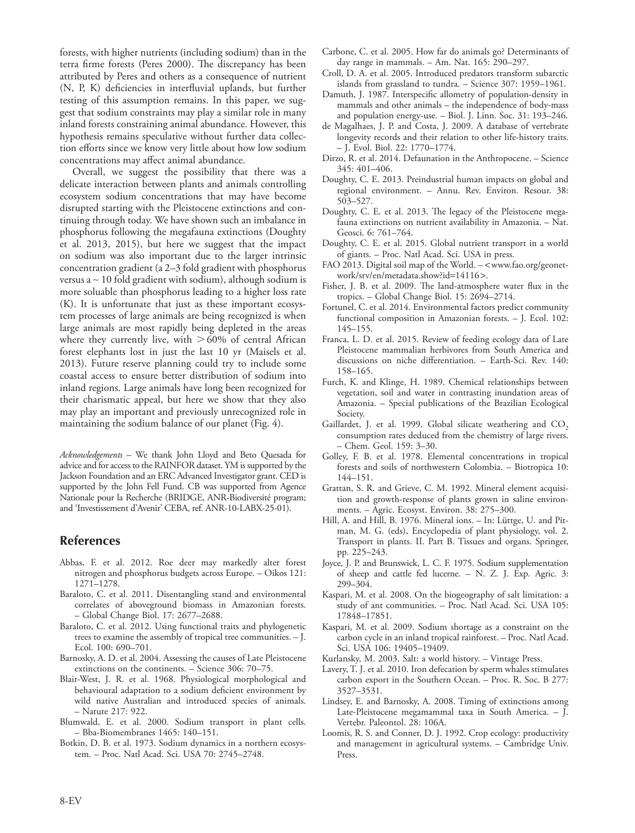forests, with higher nutrients (including sodium) than in the terra firme forests (Peres 2000). The discrepancy has been attributed by Peres and others as a consequence of nutrient (N, P, K) deficiencies in interfluvial uplands, but further testing of this assumption remains. In this paper, we suggest that sodium constraints may play a similar role in many inland forests constraining animal abundance. However, this hypothesis remains speculative without further data collection efforts since we know very little about how low sodium concentrations may affect animal abundance.

Overall, we suggest the possibility that there was a delicate interaction between plants and animals controlling ecosystem sodium concentrations that may have become disrupted starting with the Pleistocene extinctions and continuing through today. We have shown such an imbalance in phosphorus following the megafauna extinctions (Doughty et al. 2013, 2015), but here we suggest that the impact on sodium was also important due to the larger intrinsic concentration gradient (a 2–3 fold gradient with phosphorus versus a ∼ 10 fold gradient with sodium), although sodium is more soluable than phosphorus leading to a higher loss rate (K). It is unfortunate that just as these important ecosystem processes of large animals are being recognized is when large animals are most rapidly being depleted in the areas where they currently live, with  $>60\%$  of central African forest elephants lost in just the last 10 yr (Maisels et al. 2013). Future reserve planning could try to include some coastal access to ensure better distribution of sodium into inland regions. Large animals have long been recognized for their charismatic appeal, but here we show that they also may play an important and previously unrecognized role in maintaining the sodium balance of our planet (Fig. 4).

*Acknowledgements –* We thank John Lloyd and Beto Quesada for advice and for access to the RAINFOR dataset. YM is supported by the Jackson Foundation and an ERC Advanced Investigator grant. CED is supported by the John Fell Fund. CB was supported from Agence Nationale pour la Recherche (BRIDGE, ANR-Biodiversité program; and 'Investissement d'Avenir' CEBA, ref. ANR-10-LABX-25-01).

### **References**

- Abbas, F. et al. 2012. Roe deer may markedly alter forest nitrogen and phosphorus budgets across Europe. – Oikos 121: 1271–1278.
- Baraloto, C. et al. 2011. Disentangling stand and environmental correlates of aboveground biomass in Amazonian forests. – Global Change Biol. 17: 2677–2688.
- Baraloto, C. et al. 2012. Using functional traits and phylogenetic trees to examine the assembly of tropical tree communities. – J. Ecol. 100: 690–701.
- Barnosky, A. D. et al. 2004. Assessing the causes of Late Pleistocene extinctions on the continents. – Science 306: 70–75.
- Blair-West, J. R. et al. 1968. Physiological morphological and behavioural adaptation to a sodium deficient environment by wild native Australian and introduced species of animals. – Nature 217: 922.
- Blumwald, E. et al. 2000. Sodium transport in plant cells. – Bba-Biomembranes 1465: 140–151.
- Botkin, D. B. et al. 1973. Sodium dynamics in a northern ecosystem. – Proc. Natl Acad. Sci. USA 70: 2745–2748.
- Carbone, C. et al. 2005. How far do animals go? Determinants of day range in mammals. – Am. Nat. 165: 290–297.
- Croll, D. A. et al. 2005. Introduced predators transform subarctic islands from grassland to tundra. – Science 307: 1959–1961.
- Damuth, J. 1987. Interspecific allometry of population-density in mammals and other animals – the independence of body-mass and population energy-use. – Biol. J. Linn. Soc. 31: 193–246.
- de Magalhaes, J. P. and Costa, J. 2009. A database of vertebrate longevity records and their relation to other life-history traits. – J. Evol. Biol. 22: 1770–1774.
- Dirzo, R. et al. 2014. Defaunation in the Anthropocene. Science 345: 401–406.
- Doughty, C. E. 2013. Preindustrial human impacts on global and regional environment. – Annu. Rev. Environ. Resour. 38: 503–527.
- Doughty, C. E. et al. 2013. The legacy of the Pleistocene megafauna extinctions on nutrient availability in Amazonia. – Nat. Geosci. 6: 761–764.
- Doughty, C. E. et al. 2015. Global nutrient transport in a world of giants. – Proc. Natl Acad. Sci. USA in press.
- FAO 2013. Digital soil map of the World. <www.fao.org/geonetwork/srv/en/metadata.show?id=14116>.
- Fisher, J. B. et al. 2009. The land-atmosphere water flux in the tropics. – Global Change Biol. 15: 2694–2714.
- Fortunel, C. et al. 2014. Environmental factors predict community functional composition in Amazonian forests. – J. Ecol. 102: 145–155.
- Franca, L. D. et al. 2015. Review of feeding ecology data of Late Pleistocene mammalian herbivores from South America and discussions on niche differentiation. – Earth-Sci. Rev. 140: 158–165.
- Furch, K. and Klinge, H. 1989. Chemical relationships between vegetation, soil and water in contrasting inundation areas of Amazonia. – Special publications of the Brazilian Ecological Society.
- Gaillardet, J. et al. 1999. Global silicate weathering and CO<sub>2</sub> consumption rates deduced from the chemistry of large rivers. – Chem. Geol. 159: 3–30.
- Golley, F. B. et al. 1978. Elemental concentrations in tropical forests and soils of northwestern Colombia. – Biotropica 10: 144–151.
- Grattan, S. R. and Grieve, C. M. 1992. Mineral element acquisition and growth-response of plants grown in saline environments. – Agric. Ecosyst. Environ. 38: 275–300.
- Hill, A. and Hill, B. 1976. Mineral ions. In: Lüttge, U. and Pitman, M. G. (eds), Encyclopedia of plant physiology, vol. 2. Transport in plants. II. Part B. Tissues and organs. Springer, pp. 225–243.
- Joyce, J. P. and Brunswick, L. C. F. 1975. Sodium supplementation of sheep and cattle fed lucerne. – N. Z. J. Exp. Agric. 3: 299–304.
- Kaspari, M. et al. 2008. On the biogeography of salt limitation: a study of ant communities. – Proc. Natl Acad. Sci. USA 105: 17848–17851.
- Kaspari, M. et al. 2009. Sodium shortage as a constraint on the carbon cycle in an inland tropical rainforest. – Proc. Natl Acad. Sci. USA 106: 19405–19409.
- Kurlansky, M. 2003. Salt: a world history. Vintage Press.
- Lavery, T. J. et al. 2010. Iron defecation by sperm whales stimulates carbon export in the Southern Ocean. – Proc. R. Soc. B 277: 3527–3531.
- Lindsey, E. and Barnosky, A. 2008. Timing of extinctions among Late-Pleistocene megamammal taxa in South America. – J. Vertebr. Paleontol. 28: 106A.
- Loomis, R. S. and Conner, D. J. 1992. Crop ecology: productivity and management in agricultural systems. – Cambridge Univ. Press.